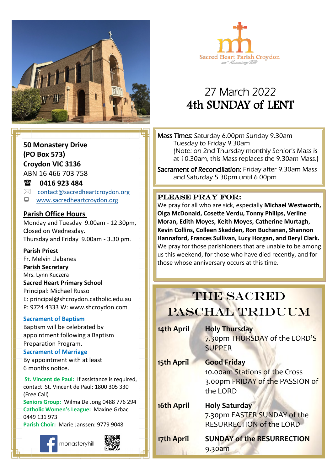



# 27 March 2022 4th SUNDAY of LENT

**50 Monastery Drive (PO Box 573) Croydon VIC 3136**

ABN 16 466 703 758

### **0416 923 484**

- $\boxtimes$  [contact@sacredheartcroydon.org](mailto:contact@sacredheartcroydon.org)
- **WWW.sacredheartcroydon.org**

### **Parish Office Hours**

Monday and Tuesday 9.00am - 12.30pm, Closed on Wednesday. Thursday and Friday 9.00am - 3.30 pm.

### **Parish Priest**

Fr. Melvin Llabanes

### **Parish Secretary**

Mrs. Lynn Kuczera

#### **Sacred Heart Primary School**

Principal: Michael Russo E: principal@shcroydon.catholic.edu.au P: 9724 4333 W: www.shcroydon.com

### **Sacrament of Baptism**

Baptism will be celebrated by appointment following a Baptism Preparation Program.

### **Sacrament of Marriage**

By appointment with at least 6 months notice.

**St. Vincent de Paul: If assistance is required.** contact St. Vincent de Paul: 1800 305 330 (Free Call)

**Seniors Group:** Wilma De Jong 0488 776 294 **Catholic Women's League:** Maxine Grbac 0449 131 973 **Parish Choir:** Marie Janssen: 9779 9048



Mass Times: Saturday 6.00pm Sunday 9.30am Tuesday to Friday 9.30am (Note: on 2nd Thursday monthly Senior's Mass is at 10.30am, this Mass replaces the 9.30am Mass.)

Sacrament of Reconciliation: Friday after 9.30am Mass and Saturday 5.30pm until 6.00pm

### PLEASE PRAY FOR:

**Come, follow me. Moran, Edith Moyes, Keith Moyes, Catherine Murtagh,**  We pray for all who are sick, especially **Michael Westworth, Olga McDonald, Cosette Verdu, Tonny Philips, Verline Kevin Collins, Colleen Skedden, Ron Buchanan, Shannon Hannaford, Frances Sullivan, Lucy Horgan, and Beryl Clark.** We pray for those parishioners that are unable to be among us this weekend, for those who have died recently, and for those whose anniversary occurs at this time.

# **THE SACRED** PASCHAL TRIDUUM

| 14th April | <b>Holy Thursday</b><br>7.30pm THURSDAY of the LORD'S<br><b>SUPPER</b>                             |
|------------|----------------------------------------------------------------------------------------------------|
| 15th April | <b>Good Friday</b><br>10.00am Stations of the Cross<br>3.00pm FRIDAY of the PASSION of<br>the LORD |
| 16th April | <b>Holy Saturday</b><br>7.30pm EASTER SUNDAY of the<br><b>RESURRECTION of the LORD</b>             |
| 17th April | <b>SUNDAY of the RESURRECTION</b><br>9.30am                                                        |